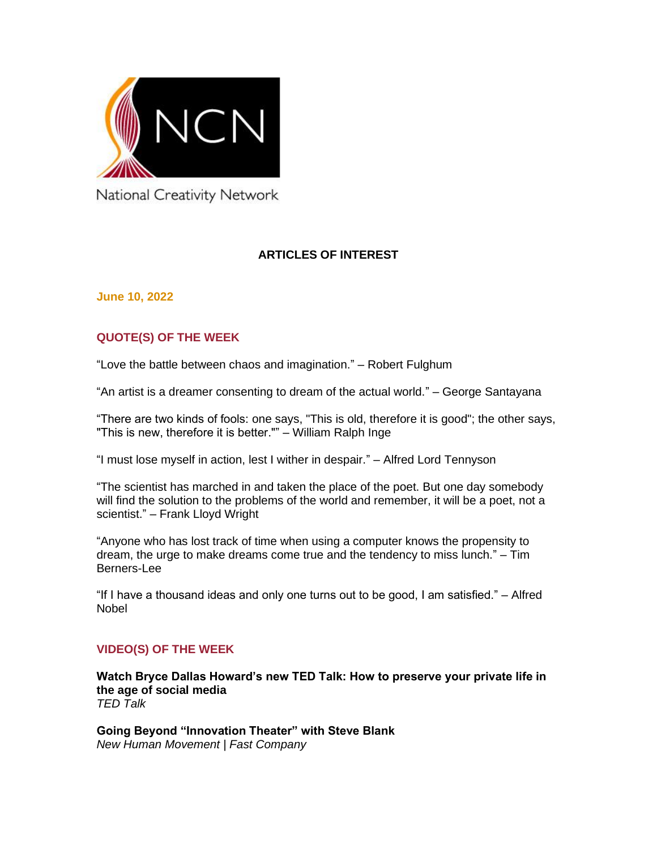

National Creativity Network

# **ARTICLES OF INTEREST**

**June 10, 2022**

# **QUOTE(S) OF THE WEEK**

"Love the battle between chaos and imagination." – Robert Fulghum

"An artist is a dreamer consenting to dream of the actual world." – George Santayana

"There are two kinds of fools: one says, "This is old, therefore it is good"; the other says, "This is new, therefore it is better."" – William Ralph Inge

"I must lose myself in action, lest I wither in despair." – Alfred Lord Tennyson

"The scientist has marched in and taken the place of the poet. But one day somebody will find the solution to the problems of the world and remember, it will be a poet, not a scientist." – Frank Lloyd Wright

"Anyone who has lost track of time when using a computer knows the propensity to dream, the urge to make dreams come true and the tendency to miss lunch." – Tim Berners-Lee

"If I have a thousand ideas and only one turns out to be good, I am satisfied." – Alfred Nobel

## **VIDEO(S) OF THE WEEK**

**[Watch Bryce Dallas Howard's new TED Talk: How to preserve your private life in](https://blog.ted.com/watch-bryce-dallas-howards-new-ted-talk-how-to-preserve-your-private-life-in-the-age-of-social-media/)  [the age of social media](https://blog.ted.com/watch-bryce-dallas-howards-new-ted-talk-how-to-preserve-your-private-life-in-the-age-of-social-media/)** *TED Talk*

**[Going Beyond "Innovation Theater" with Steve Blank](https://www.fastcompany.com/video/going-beyond-innovation-theater-with-steve-blank/YBYqNcft)** *New Human Movement | Fast Company*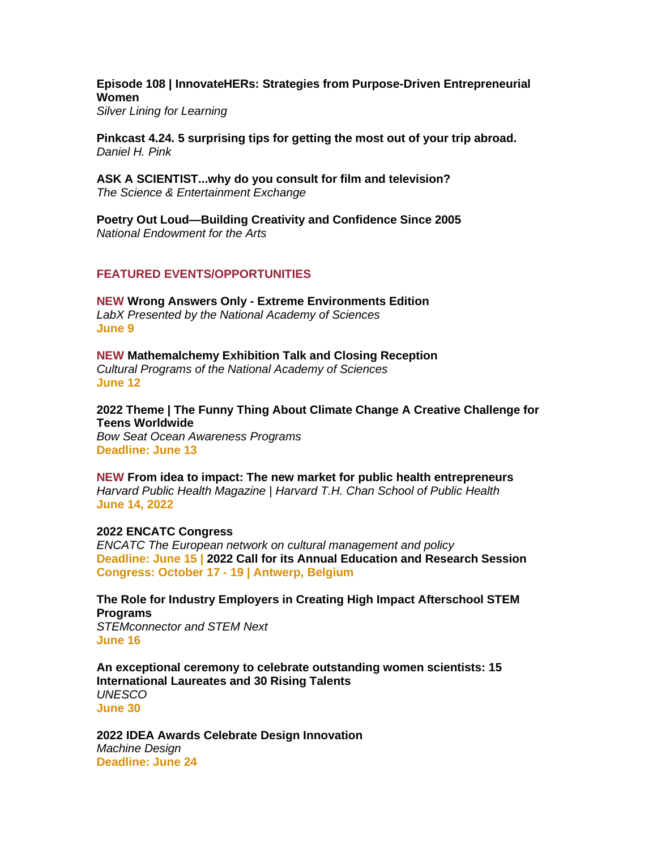## **[Episode 108 | InnovateHERs: Strategies from Purpose-Driven Entrepreneurial](https://silverliningforlearning.org/episode-108-innovatehers-strategies-from-purpose-driven-entrepreneurial-women/)  [Women](https://silverliningforlearning.org/episode-108-innovatehers-strategies-from-purpose-driven-entrepreneurial-women/)**

*Silver Lining for Learning*

**[Pinkcast 4.24. 5 surprising tips for getting the most out of your trip abroad.](https://www.danpink.com/pinkcast/pinkcast-4-24-5-surprising-tips-for-getting-the-most-out-of-your-trip-abroad/)** *Daniel H. Pink*

**[ASK A SCIENTIST...why do you consult for film and television?](https://youtu.be/33jGlc1UT98)** *The Science & Entertainment Exchange*

**[Poetry Out Loud—Building Creativity and Confidence Since 2005](https://youtu.be/xte792uqKEA)** *National Endowment for the Arts*

## **FEATURED EVENTS/OPPORTUNITIES**

**NEW Wrong Answers Only - [Extreme Environments Edition](https://www.eventbrite.com/e/wrong-answers-only-extreme-environments-edition-tickets-334702292567)** *LabX Presented by the National Academy of Sciences* **June 9**

**NEW [Mathemalchemy Exhibition Talk and Closing Reception](https://www.eventbrite.com/e/mathemalchemy-exhibition-talk-and-closing-reception-tickets-344289297557)** *Cultural Programs of the National Academy of Sciences* **June 12**

**[2022 Theme | The Funny Thing About Climate Change A Creative Challenge for](https://bowseat.org/programs/ocean-awareness-contest/contest-overview/)  [Teens Worldwide](https://bowseat.org/programs/ocean-awareness-contest/contest-overview/)** *Bow Seat Ocean Awareness Programs*

**Deadline: June 13**

**NEW [From idea to impact: The new market for public health entrepreneurs](https://harvard.az1.qualtrics.com/jfe/form/SV_8AFe8wfkV9QxNNI)** *Harvard Public Health Magazine | Harvard T.H. Chan School of Public Health* **June 14, 2022**

### **[2022 ENCATC Congress](https://www.encatc.org/en/events/detail/2022-encatc-congress/)**

*ENCATC The European network on cultural management and policy* **Deadline: June 15 | [2022 Call for its Annual Education and Research Session](https://www.encatc.org/en/call-for-abstracts-and-teaching-demonstrations/) Congress: October 17 - 19 | Antwerp, Belgium**

**[The Role for Industry Employers in Creating High Impact Afterschool STEM](https://stemconnector.zoom.us/webinar/register/WN_EmQT5KQmQhe3wLlRJeRy7g)  [Programs](https://stemconnector.zoom.us/webinar/register/WN_EmQT5KQmQhe3wLlRJeRy7g)** *STEMconnector and STEM Next*

**June 16**

**[An exceptional ceremony to celebrate outstanding women scientists: 15](https://www.unesco.org/en/articles/exceptional-ceremony-celebrate-outstanding-women-scientists-15-international-laureates-and)  [International Laureates and 30 Rising Talents](https://www.unesco.org/en/articles/exceptional-ceremony-celebrate-outstanding-women-scientists-15-international-laureates-and)** *UNESCO* **June 30**

**[2022 IDEA Awards Celebrate Design Innovation](https://www.machinedesign.com/community/article/21241324/2022-idea-awards-celebrate-design-innovation)** *Machine Design* **Deadline: June 24**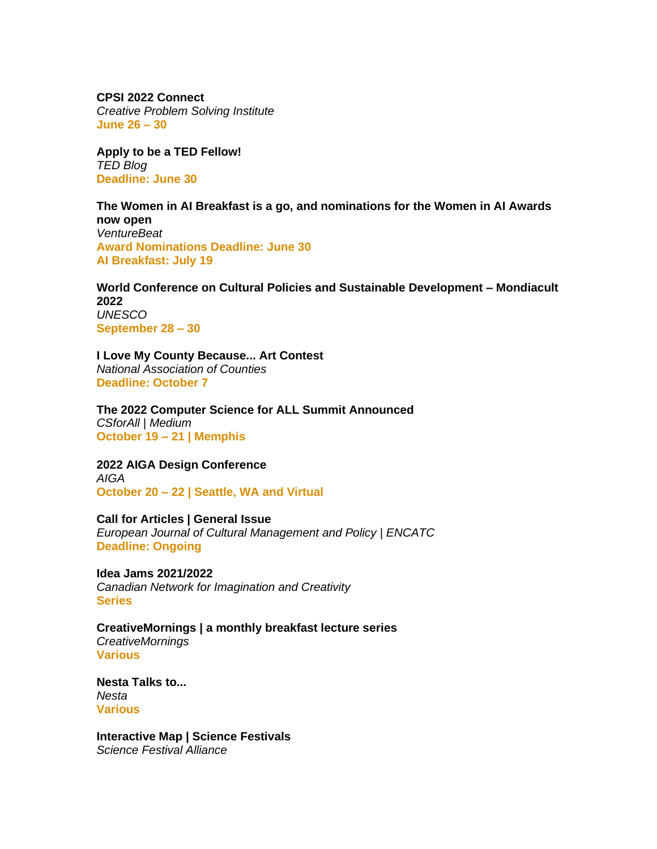**[CPSI 2022 Connect](https://cpsiconference.com/)** *Creative Problem Solving Institute* **June 26 – 30** 

**[Apply to be a TED Fellow!](https://blog.ted.com/apply-to-be-a-ted-fellow-2/)** *TED Blog* **Deadline: June 30**

**[The Women in AI Breakfast is a go, and nominations for the Women in AI Awards](https://venturebeat.com/2022/05/18/the-women-in-ai-breakfast-is-a-go-and-nominations-for-the-women-in-ai-awards-now-open/)  [now open](https://venturebeat.com/2022/05/18/the-women-in-ai-breakfast-is-a-go-and-nominations-for-the-women-in-ai-awards-now-open/)** *VentureBeat* **Award Nominations Deadline: June 30 AI Breakfast: July 19**

**[World Conference on Cultural Policies and Sustainable Development –](https://www.unesco.org/en/mondiacult2022) Mondiacult [2022](https://www.unesco.org/en/mondiacult2022)** *UNESCO* **September 28 – 30** 

**[I Love My County Because... Art Contest](https://www.naco.org/resources/i-love-my-county-because-art-contest)** *National Association of Counties* **Deadline: October 7**

**[The 2022 Computer Science for ALL Summit Announced](https://csforall.medium.com/the-2022-computer-science-for-all-summit-announced-dcb5d9c93667)** *CSforAll | Medium* **October 19 – 21 | Memphis**

**[2022 AIGA Design Conference](https://www.aiga.org/design/design-conferences/aiga-design-conference)** *AIGA* **October 20 – 22 | Seattle, WA and Virtual**

**[Call for Articles | General Issue](https://www.encatc.org/en/upcoming-issues-and-call-for-articles/)** *European Journal of Cultural Management and Policy | ENCATC* **Deadline: Ongoing**

**[Idea Jams 2021/2022](https://canadiannetworkforimaginationandcreativity.com/registerhere)** *Canadian Network for Imagination and Creativity* **Series**

**[CreativeMornings | a monthly breakfast lecture series](http://www.creativemornings.com/)** *CreativeMornings* **Various**

**[Nesta Talks to...](https://www.nesta.org.uk/feature/nesta-talks-to/)** *Nesta* **Various**

**[Interactive Map | Science Festivals](https://sciencefestivals.org/festivals/)** *Science Festival Alliance*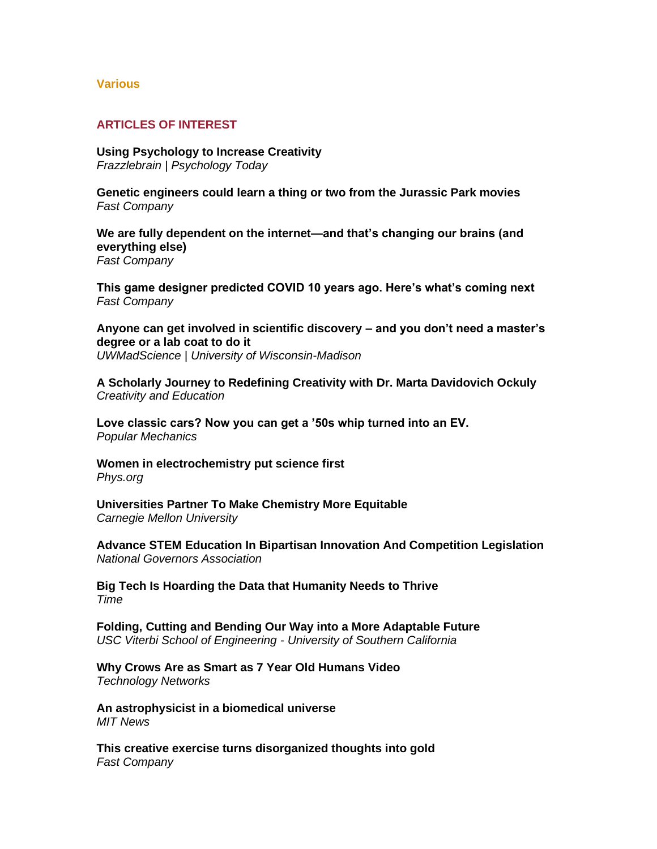### **Various**

## **ARTICLES OF INTEREST**

**[Using Psychology to Increase Creativity](https://cdn.psychologytoday.com/us/blog/frazzlebrain/202206/using-psychology-increase-creativity)** *Frazzlebrain | Psychology Today*

**[Genetic engineers could learn a thing or two from the Jurassic Park movies](https://www.fastcompany.com/90759811/genetic-engineers-could-learn-a-thing-or-two-from-the-jurassic-park-movies)** *Fast Company*

**[We are fully dependent on the internet—and that's changing our brains \(and](https://www.fastcompany.com/90759823/we-are-fully-dependent-on-the-internet-and-thats-changing-our-brains-and-everything-else)  [everything else\)](https://www.fastcompany.com/90759823/we-are-fully-dependent-on-the-internet-and-thats-changing-our-brains-and-everything-else)** *Fast Company*

**[This game designer predicted COVID 10 years ago. Here's what's coming next](https://www.fastcompany.com/90759456/this-game-designer-predicted-covid-10-years-ago-heres-whats-coming-next)** *Fast Company*

**[Anyone can get involved in scientific discovery –](https://uwmadscience.news.wisc.edu/uncategorized/anyone-can-get-involved-in-scientific-discovery-and-you-dont-need-a-masters-degree-or-a-lab-coat-to-do-it/) and you don't need a master's [degree or a lab coat to do it](https://uwmadscience.news.wisc.edu/uncategorized/anyone-can-get-involved-in-scientific-discovery-and-you-dont-need-a-masters-degree-or-a-lab-coat-to-do-it/)** *UWMadScience | University of Wisconsin-Madison*

**[A Scholarly Journey to Redefining Creativity with Dr. Marta Davidovich Ockuly](https://creativityandeducation.com/a-scholarly-journey-to-redefining-creativity-with-dr-marta-davidovich-ockuly/)** *Creativity and Education*

**[Love classic cars? Now you can get a '50s whip turned into an EV.](https://www.popsci.com/environment/vintage-retrofit-electric-vehicles/)** *Popular Mechanics*

**[Women in electrochemistry put science first](https://physicsworld.com/a/women-in-electrochemistry-put-science-first/)** *Phys.org*

**[Universities Partner To Make Chemistry More Equitable](https://www.cmu.edu/news/stories/archives/2022/june/asu-cmu-chemistry.html)** *Carnegie Mellon University*

**[Advance STEM Education In Bipartisan Innovation And Competition Legislation](https://www.nga.org/news/commentary/advance-stem-education-in-bipartisan-innovation-and-competition-legislation/)** *National Governors Association*

**[Big Tech Is Hoarding the Data that Humanity Needs to Thrive](https://time.com/6185433/big-tech-hoarding-data-humanity-needs/)** *Time*

**[Folding, Cutting and Bending Our Way into a More Adaptable Future](https://viterbischool.usc.edu/news/2022/06/folding-cutting-and-bending-our-way-into-a-more-adaptable-future/)** *USC Viterbi School of Engineering - University of Southern California* 

**[Why Crows Are as Smart as 7 Year Old Humans Video](https://www.technologynetworks.com/neuroscience/videos/why-crows-are-as-smart-as-7-year-old-humans-362389)** *Technology Networks* 

**[An astrophysicist in a biomedical universe](https://news.mit.edu/2022/magdelena-allen-pet-scanner-0610)** *MIT News*

**[This creative exercise turns disorganized thoughts into gold](https://www.fastcompany.com/90755854/this-creative-exercise-turns-disorganized-thoughts-into-gold)** *Fast Company*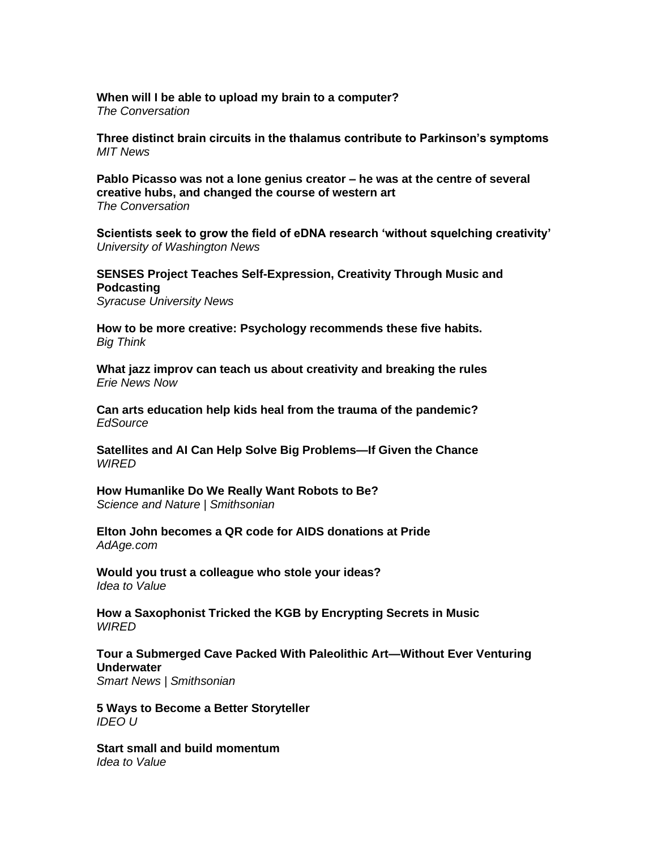**[When will I be able to upload my brain to a computer?](https://theconversation.com/when-will-i-be-able-to-upload-my-brain-to-a-computer-184130)** *The Conversation*

**[Three distinct brain circuits in the thalamus contribute to Parkinson's symptoms](https://news.mit.edu/2022/brain-circuits-thalamus-parkinsons-0608)** *MIT News*

**[Pablo Picasso was not a lone genius](https://theconversation.com/pablo-picasso-was-not-a-lone-genius-creator-he-was-at-the-centre-of-several-creative-hubs-and-changed-the-course-of-western-art-181329) creator – he was at the centre of several [creative hubs, and changed the course of western art](https://theconversation.com/pablo-picasso-was-not-a-lone-genius-creator-he-was-at-the-centre-of-several-creative-hubs-and-changed-the-course-of-western-art-181329)** *The Conversation*

**[Scientists seek to grow the field of eDNA research 'without squelching creativity'](https://www.washington.edu/news/2022/06/09/scientists-seek-to-grow-the-field-of-edna-research-without-squelching-creativity/)** *University of Washington News*

## **[SENSES Project Teaches Self-Expression, Creativity Through Music and](https://news.syr.edu/blog/2022/06/08/senses-project-teaches-self-expression-creativity-through-music-and-podcasting/)  [Podcasting](https://news.syr.edu/blog/2022/06/08/senses-project-teaches-self-expression-creativity-through-music-and-podcasting/)**

*Syracuse University News*

**[How to be more creative: Psychology recommends these five habits.](https://bigthink.com/neuropsych/how-to-be-more-creative/)** *Big Think*

**[What jazz improv can teach us about creativity and breaking the rules](https://www.erienewsnow.com/story/46660896/what-jazz-improv-can-teach-us-about-creativity-and-breaking-the-rules)** *Erie News Now* 

**[Can arts education help kids heal from the trauma of the pandemic?](https://edsource.org/2022/can-arts-education-help-kids-heal-from-the-trauma-of-the-pandemic/673558)** *EdSource*

**[Satellites and AI Can Help Solve Big Problems—If Given the Chance](https://www.wired.com/story/satellite-images-ai-solve-problems-governments/)** *WIRED*

**[How Humanlike Do We Really Want Robots to Be?](https://www.smithsonianmag.com/science-nature/how-humanlike-do-we-really-want-robots-to-be-180980234/)** *Science and Nature | Smithsonian*

**[Elton John becomes a QR code for AIDS donations at Pride](https://adage.com/creativity/work/elton-john-becomes-qr-code-aids-donations-pride/2419946)** *AdAge.com*

**[Would you trust a colleague who stole your ideas?](https://www.ideatovalue.com/insp/nickskillicorn/2022/06/would-you-trust-a-colleague-who-stole-your-ideas/)** *Idea to Value*

**[How a Saxophonist Tricked the KGB by Encrypting Secrets in Music](https://www.wired.com/story/merryl-goldberg-music-encryption-ussr-phantom-orchestra/)** *WIRED*

### **[Tour a Submerged Cave Packed With Paleolithic Art—Without Ever Venturing](https://www.smithsonianmag.com/smart-news/tour-submerged-cave-packed-with-paleolithic-art-without-ever-venturing-underwater-180980224/)  [Underwater](https://www.smithsonianmag.com/smart-news/tour-submerged-cave-packed-with-paleolithic-art-without-ever-venturing-underwater-180980224/)**

*Smart News | Smithsonian*

**[5 Ways to Become a Better Storyteller](https://www.ideou.com/blogs/inspiration/5-ways-to-become-a-better-storyteller)** *IDEO U*

**Start small and [build momentum](https://www.ideatovalue.com/insp/nickskillicorn/2022/06/start-small-and-build-momentum)** *Idea to Value*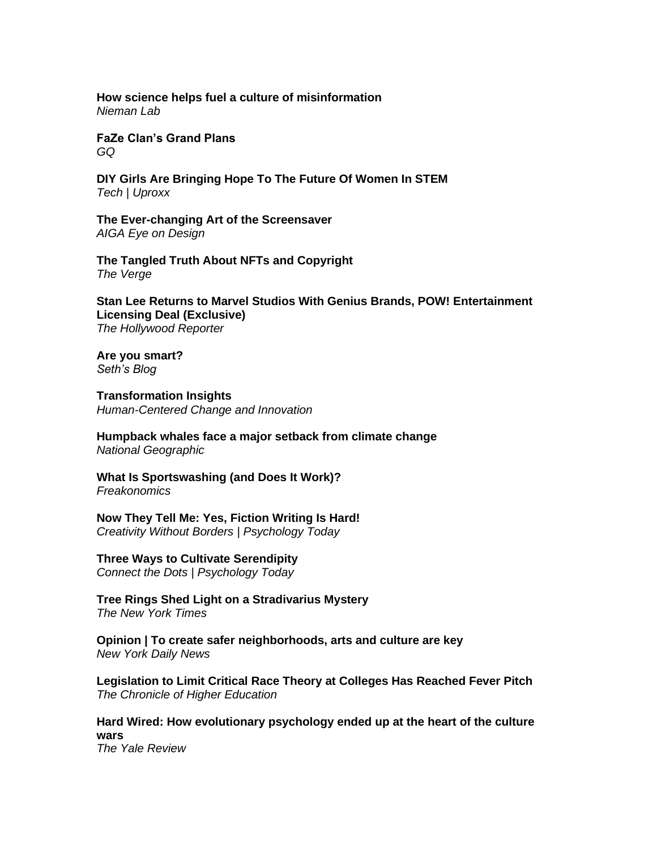**[How science helps fuel a culture of misinformation](https://www.niemanlab.org/2022/06/how-science-helps-fuel-a-culture-of-misinformation/)** *Nieman Lab*

**[FaZe Clan's Grand Plans](https://www.gq.com/story/faze-clans-grand-plans)** *GQ*

**[DIY Girls Are Bringing Hope To The Future Of Women In STEM](https://uproxx.com/technology/diy-girls-non-profit/)** *Tech | Uproxx*

**[The Ever-changing Art of the Screensaver](https://eyeondesign.aiga.org/the-ever-changing-art-of-the-screensaver/)** *AIGA Eye on Design*

**[The Tangled Truth About NFTs and](https://www.theverge.com/23139793/nft-crypto-copyright-ownership-primer-cornell-ic3) Copyright** *The Verge*

**[Stan Lee Returns to Marvel Studios With Genius Brands, POW! Entertainment](https://www.hollywoodreporter.com/movies/movie-news/stan-lee-marvel-studios-licensing-deal-1235149039/?mc_cid=ee220dbdbb&mc_eid=1965a9f6ef)  [Licensing Deal \(Exclusive\)](https://www.hollywoodreporter.com/movies/movie-news/stan-lee-marvel-studios-licensing-deal-1235149039/?mc_cid=ee220dbdbb&mc_eid=1965a9f6ef)** *The Hollywood Reporter*

**[Are you smart?](https://seths.blog/2022/06/are-you-smart/)** *Seth's Blog*

**[Transformation Insights](https://bradenkelley.com/2022/06/transformation-insights/)** *Human-Centered Change and Innovation*

**[Humpback whales face a major setback from climate change](https://www.nationalgeographic.com/environment/article/humpback-whales-face-a-major-setback-from-climate-change)** *National Geographic*

**[What Is Sportswashing \(and Does It Work\)?](https://freakonomics.com/podcast/what-is-sportswashing-and-does-it-work/)** *Freakonomics*

**[Now They Tell Me: Yes, Fiction Writing Is Hard!](https://cdn.psychologytoday.com/us/blog/creativity-without-borders/202206/now-they-tell-me-yes-fiction-writing-is-hard)** *Creativity Without Borders | Psychology Today*

**[Three Ways to Cultivate Serendipity](https://cdn.psychologytoday.com/us/blog/connect-the-dots/202206/three-ways-cultivate-serendipity)** *Connect the Dots | Psychology Today*

**[Tree Rings Shed Light on a Stradivarius Mystery](https://www.nytimes.com/2022/06/08/science/stradavirius-violin-tree-rings.html)** *The New York Times*

**Opinion | To create safer [neighborhoods, arts and culture are key](https://www.nydailynews.com/opinion/ny-oped-arts-culture-safer-neighborhoods-20220606-vl3xqhsoq5ae7c3hl4eywynpna-story.html)** *New York Daily News*

**[Legislation to Limit Critical Race Theory at Colleges Has Reached Fever Pitch](https://www.chronicle.com/article/legislation-to-limit-critical-race-theory-at-colleges-has-reached-fever-pitch)** *The Chronicle of Higher Education*

**[Hard Wired: How evolutionary psychology ended up at the heart of the culture](https://yalereview.org/article/evolutionary-psychology-culture-wars)  [wars](https://yalereview.org/article/evolutionary-psychology-culture-wars)** *The Yale Review*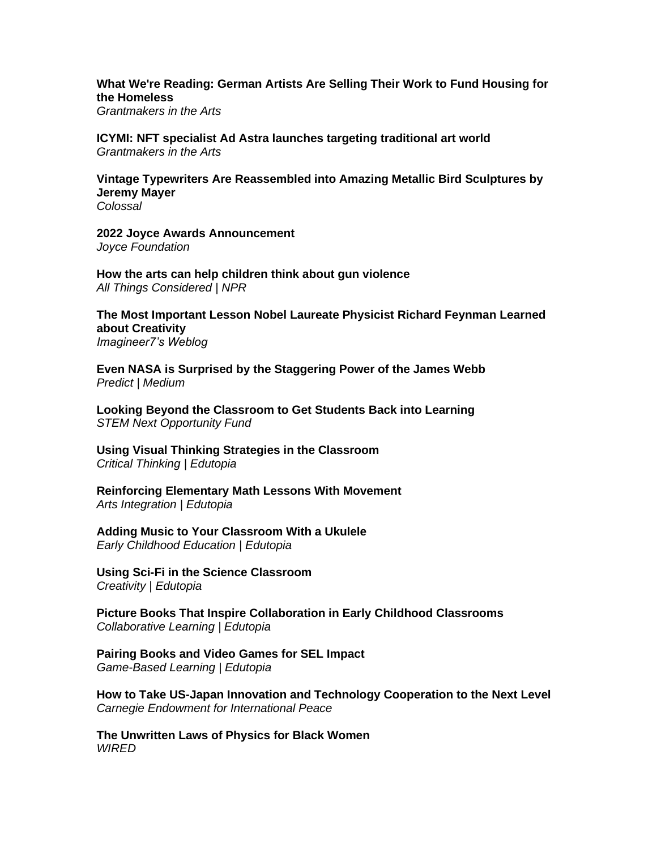**[What We're Reading: German Artists Are Selling Their Work to Fund Housing for](https://www.giarts.org/blog/jaime-sharp/what-were-reading-german-artists-are-selling-their-work-fund-housing-homeless)  [the Homeless](https://www.giarts.org/blog/jaime-sharp/what-were-reading-german-artists-are-selling-their-work-fund-housing-homeless)**

*Grantmakers in the Arts*

**[ICYMI: NFT specialist Ad Astra launches targeting traditional art world](https://www.giarts.org/blog/jaime-sharp/icymi-nft-specialist-ad-astra-launches-targeting-traditional-art-world)** *Grantmakers in the Arts*

**[Vintage Typewriters Are Reassembled into Amazing Metallic Bird Sculptures by](https://www.thisiscolossal.com/2022/06/jeremy-mayer-typewriter-birds/)  [Jeremy Mayer](https://www.thisiscolossal.com/2022/06/jeremy-mayer-typewriter-birds/)** *Colossal*

**[2022 Joyce Awards Announcement](https://www.joycefdn.org/news/2022-joyce-awards-announcement)** *Joyce Foundation* 

**[How the arts can help children think about gun violence](https://www.npr.org/2022/06/07/1103391896/how-the-arts-can-help-children-think-about-gun-violence)** *All Things Considered | NPR*

**[The Most Important Lesson Nobel Laureate Physicist Richard Feynman Learned](https://imagine-er7.com/2022/06/07/the-most-important-lesson-nobel-laureate-physicist-richard-feynman-learned-about-creativity/)  [about Creativity](https://imagine-er7.com/2022/06/07/the-most-important-lesson-nobel-laureate-physicist-richard-feynman-learned-about-creativity/)** *Imagineer7's Weblog*

**[Even NASA is Surprised by the Staggering Power of the James Webb](https://medium.com/predict/even-nasa-is-surprised-by-the-staggering-power-of-the-james-webb-d6710f58b45a)** *Predict | Medium*

**[Looking Beyond the Classroom to Get Students Back into Learning](https://stemnext.org/back-to-learning/)** *STEM Next Opportunity Fund*

**[Using Visual Thinking Strategies in the Classroom](https://www.edutopia.org/article/using-visual-thinking-strategies-classroom)** *Critical Thinking | Edutopia*

**[Reinforcing Elementary Math Lessons With Movement](https://www.edutopia.org/article/reinforcing-elementary-math-lessons-movement)** *Arts Integration | Edutopia*

**[Adding Music to Your Classroom With a Ukulele](https://www.edutopia.org/article/adding-music-your-classroom-ukulele)** *Early Childhood Education | Edutopia*

**[Using Sci-Fi in the Science Classroom](https://www.edutopia.org/article/using-sci-fi-science-classroom)** *Creativity | Edutopia*

**[Picture Books That Inspire Collaboration in Early Childhood Classrooms](https://www.edutopia.org/article/picture-books-inspire-collaboration-early-childhood-classrooms)** *Collaborative Learning | Edutopia*

**[Pairing Books and Video Games for SEL Impact](https://www.edutopia.org/article/pairing-books-and-video-games-sel-impact)** *Game-Based Learning | Edutopia*

**[How to Take US-Japan Innovation and Technology Cooperation to the Next Level](https://carnegieendowment.org/2022/06/07/how-to-take-u.s.-japan-innovation-and-technology-cooperation-to-next-level-pub-87260)** *Carnegie Endowment for International Peace* 

**[The Unwritten Laws of Physics for Black Women](https://www.wired.com/story/the-unwritten-laws-of-physics/)** *WIRED*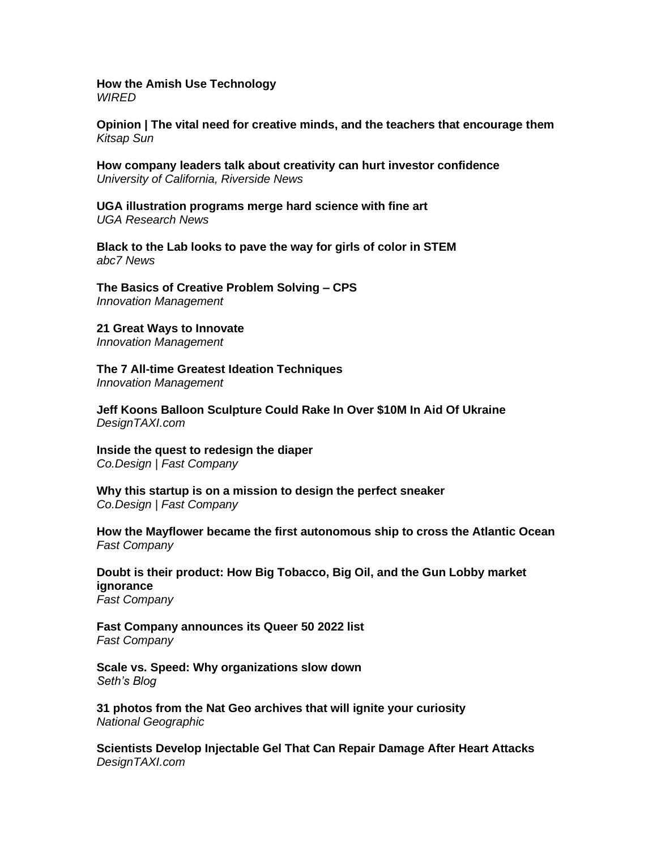**[How the Amish Use Technology](https://www.wired.com/story/virtually-amish-hacking-innovation/)** *WIRED*

**[Opinion | The vital need for creative minds, and the teachers that encourage them](https://www.kitsapsun.com/story/opinion/columnists/2022/06/07/opinion-how-creativity-and-those-who-teach-it-can-change-world/10001333002/)** *Kitsap Sun*

**[How company leaders talk about creativity can hurt investor confidence](https://news.ucr.edu/articles/2022/06/07/how-company-leaders-talk-about-creativity-can-hurt-investor-confidence)** *University of California, Riverside News*

**[UGA illustration programs merge hard science with fine art](https://research.uga.edu/news/uga-illustration-programs-merge-hard-science-with-fine-art/)** *UGA Research News*

**[Black to the Lab looks to pave the way for girls of color in STEM](https://abc7news.com/black-to-the-lab-stem-kit-for-girls-women-in-kristen-wells-lewis/11933112/)** *abc7 News*

**[The Basics of Creative Problem Solving –](https://innovationmanagement.se/2010/06/02/the-basics-of-creative-problem-solving-cps/) CPS** *Innovation Management*

**[21 Great Ways to Innovate](https://innovationmanagement.se/2009/11/03/21-great-ways-to-innovate/)** *Innovation Management*

**[The 7 All-time Greatest Ideation Techniques](https://innovationmanagement.se/2013/05/30/the-7-all-time-greatest-ideation-techniques/)** *Innovation Management*

**[Jeff Koons Balloon Sculpture Could Rake In Over \\$10M In Aid Of Ukraine](https://designtaxi.com/news/418959/Jeff-Koons-Balloon-Sculpture-Could-Rake-In-Over-10M-In-Aid-Of-Ukraine/)** *DesignTAXI.com*

**[Inside the quest to redesign the diaper](https://www.fastcompany.com/90757160/inside-the-quest-to-redesign-the-diaper)** *Co.Design | Fast Company*

**[Why this startup is on a mission to design the perfect sneaker](https://www.fastcompany.com/90758588/why-this-startup-is-on-a-mission-to-design-the-perfect-sneaker)**

*Co.Design | Fast Company*

**[How the Mayflower became the first autonomous ship to cross the Atlantic Ocean](https://www.fastcompany.com/90758518/how-the-mayflower-became-the-first-autonomous-ship-to-cross-the-atlantic-ocean)** *Fast Company*

**[Doubt is their product: How Big Tobacco, Big Oil, and the Gun Lobby market](https://www.fastcompany.com/90759059/doubt-is-their-product-how-big-tobacco-big-oil-and-the-gun-lobby-market-ignorance)  [ignorance](https://www.fastcompany.com/90759059/doubt-is-their-product-how-big-tobacco-big-oil-and-the-gun-lobby-market-ignorance)** *Fast Company*

**[Fast Company announces its Queer 50 2022 list](https://www.fastcompany.com/queer-50/list)** *Fast Company*

**[Scale vs. Speed: Why organizations slow down](https://seths.blog/2022/06/scale-vs-speed-why-organizations-slow-down/)** *Seth's Blog*

**[31 photos from the Nat Geo archives that will ignite your curiosity](https://www.nationalgeographic.com/photography/article/photos-ignite-your-curiosity-nat-geo-archives-may-pod)** *National Geographic*

**[Scientists Develop Injectable Gel That Can Repair Damage After Heart Attacks](https://designtaxi.com/news/418968/Scientists-Develop-Injectable-Gel-That-Can-Repair-Damage-After-Heart-Attacks/)** *DesignTAXI.com*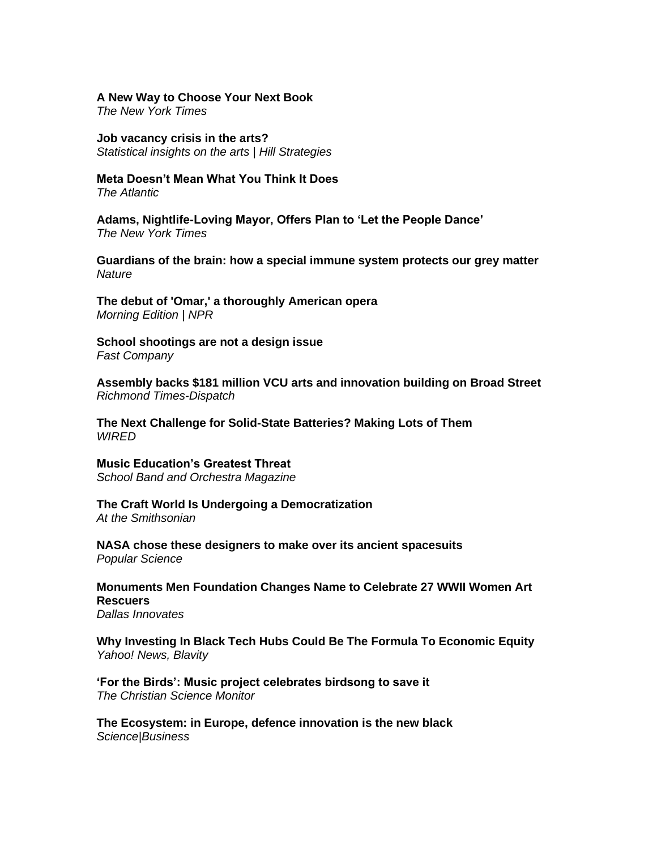#### **[A New Way to Choose Your Next Book](https://www.nytimes.com/2022/06/07/books/new-book-apps-tertulia.html)**

*The New York Times*

**[Job vacancy crisis in the arts?](https://statsinsights.hillstrategies.com/p/job-vacancy-crisis-in-the-arts)** *Statistical insights on the arts | Hill Strategies*

**[Meta Doesn't Mean What You Think It Does](https://www.theatlantic.com/newsletters/archive/2022/06/meta-origin-irony/661191/)**

*The Atlantic*

**[Adams, Nightlife-Loving Mayor, Offers Plan to 'Let the People Dance'](https://www.nytimes.com/2022/06/01/nyregion/01adams-dancing-cabaret.html)** *The New York Times*

**[Guardians of the brain: how a special immune system protects our grey matter](https://www.nature.com/articles/d41586-022-01502-8)** *Nature*

**[The debut of 'Omar,' a thoroughly American opera](https://www.npr.org/2022/06/07/1102782509/the-debut-of-omar-a-thoroughly-american-opera)** *Morning Edition | NPR*

**[School shootings are not a design issue](https://www.fastcompany.com/90758000/uvalde-mass-shootings-not-a-design-issue)** *Fast Company*

**[Assembly backs \\$181 million VCU arts and innovation building on Broad Street](https://richmond.com/news/local/education/assembly-backs-181-million-vcu-arts-and-innovation-building-on-broad-street/article_1a60ff35-9078-54ff-95b2-a577d3a338a5.html)** *Richmond Times-Dispatch*

**[The Next Challenge for Solid-State Batteries? Making Lots of Them](https://www.wired.com/story/the-next-challenge-for-solid-state-batteries-making-lots-of-them/)** *WIRED* 

**[Music Education's Greatest Threat](https://sbomagazine.com/music-educations-greatest-threat/)** *School Band and Orchestra Magazine*

**[The Craft World Is Undergoing a Democratization](https://www.smithsonianmag.com/smithsonian-institution/the-craft-world-is-undergoing-a-democratization-180980182/)** *At the Smithsonian*

**[NASA chose these designers to make over its ancient spacesuits](https://www.popsci.com/science/nasa-hires-spacesuit-designers/)** *Popular Science*

**[Monuments Men Foundation Changes Name to Celebrate 27 WWII Women Art](https://dallasinnovates.com/monuments-men-foundation-changes-name-to-celebrate-27-wwii-women-art-rescuers/)  [Rescuers](https://dallasinnovates.com/monuments-men-foundation-changes-name-to-celebrate-27-wwii-women-art-rescuers/)**

*Dallas Innovates*

**[Why Investing In Black Tech Hubs Could Be The Formula To Economic Equity](https://news.yahoo.com/why-investing-black-tech-hubs-155104118.html)** *Yahoo! News, Blavity*

**['For the Birds': Music project celebrates birdsong to save it](https://www.csmonitor.com/The-Culture/Music/2022/0606/For-the-Birds-Music-project-celebrates-birdsong-to-save-it)** *The Christian Science Monitor*

**[The Ecosystem: in Europe, defence innovation is the new black](https://sciencebusiness.net/news/ecosystem-europe-defence-innovation-new-black)** *Science|Business*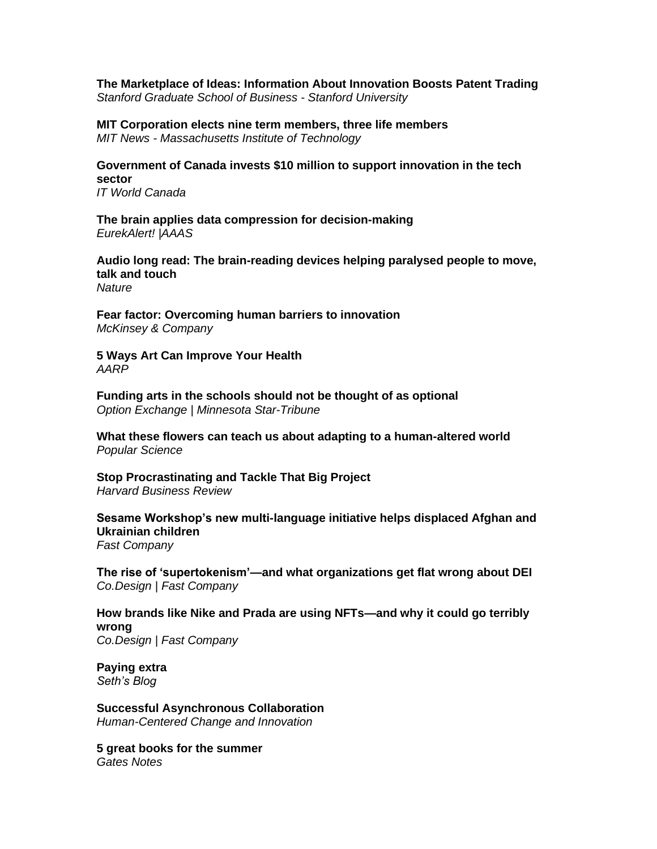**[The Marketplace of Ideas: Information About Innovation Boosts Patent Trading](https://www.gsb.stanford.edu/insights/marketplace-ideas-information-about-innovation-boosts-patent-trading)** *Stanford Graduate School of Business - Stanford University*

**[MIT Corporation elects nine term members, three life members](https://news.mit.edu/2022/corporation-term-life-members-0606)** *MIT News - Massachusetts Institute of Technology*

**[Government of Canada invests \\$10 million to support innovation in the tech](https://www.itworldcanada.com/article/government-of-canada-invests-10-million-to-support-innovation-in-the-tech-sector/487156)  [sector](https://www.itworldcanada.com/article/government-of-canada-invests-10-million-to-support-innovation-in-the-tech-sector/487156)** *IT World Canada*

**[The brain applies data compression for decision-making](https://www.eurekalert.org/news-releases/954857)** *EurekAlert! |AAAS*

**[Audio long read: The brain-reading devices helping paralysed people to move,](https://www.nature.com/articles/d41586-022-01288-9)  [talk and touch](https://www.nature.com/articles/d41586-022-01288-9)** *Nature*

**[Fear factor: Overcoming human barriers to innovation](https://www.mckinsey.com/business-functions/strategy-and-corporate-finance/our-insights/fear-factor-overcoming-human-barriers-to-innovation)** *McKinsey & Company*

**[5 Ways Art Can Improve Your Health](https://www.aarp.org/health/conditions-treatments/info-2022/art-therapy.html)** *AARP*

**[Funding arts in the schools should not be thought of as optional](https://www.startribune.com/funding-arts-in-the-schools-should-not-be-thought-of-as-optional/600179793/)** *Option Exchange | Minnesota Star-Tribune*

**[What these flowers can teach us about adapting to a human-altered world](https://www.popsci.com/science/evolution-extinction/)** *Popular Science*

**[Stop Procrastinating and Tackle That Big Project](https://hbr.org/2022/05/stop-procrastinating-and-tackle-that-big-project)** *Harvard Business Review*

**[Sesame Workshop's new multi-language initiative helps displaced Afghan and](https://www.fastcompany.com/90758562/sesame-workshop-afghan-ukraine-children)  [Ukrainian children](https://www.fastcompany.com/90758562/sesame-workshop-afghan-ukraine-children)** *Fast Company*

**[The rise of 'supertokenism'—and what organizations get flat wrong about DEI](https://www.fastcompany.com/90751644/the-rise-of-supertokenism-and-what-organizations-get-wrong-about-dei)** *Co.Design | Fast Company*

**[How brands like Nike and Prada are using NFTs—and why it could go terribly](https://www.fastcompany.com/90757697/how-brands-like-nike-and-prada-are-using-nfts-and-why-it-could-go-terribly-wrong)  [wrong](https://www.fastcompany.com/90757697/how-brands-like-nike-and-prada-are-using-nfts-and-why-it-could-go-terribly-wrong)** *Co.Design | Fast Company*

**[Paying extra](https://seths.blog/2022/06/paying-extra/)** *Seth's Blog*

**[Successful Asynchronous Collaboration](https://bradenkelley.com/2022/06/successful-asynchronous-collaboration/)** *Human-Centered Change and Innovation*

**[5 great books for the summer](https://www.gatesnotes.com/About-Bill-Gates/Summer-Books-2022)** *Gates Notes*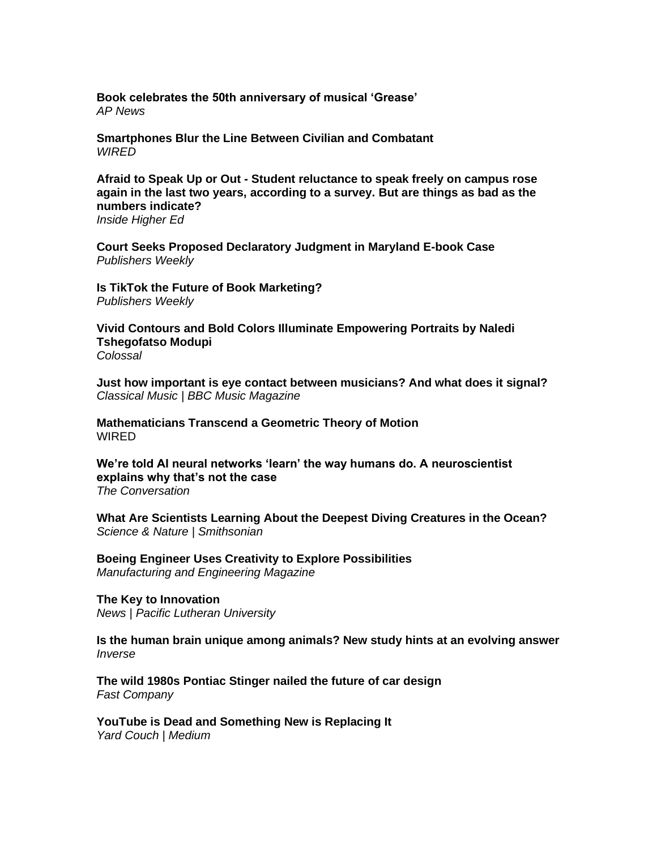**[Book celebrates the 50th anniversary of musical 'Grease'](https://apnews.com/article/entertainment-john-travolta-treat-williams-peter-gallagher-judy-kaye-3dcbec2872ff2558e7eec60890006415)** *AP News*

**[Smartphones Blur the Line Between Civilian and Combatant](https://www.wired.com/story/smartphones-ukraine-civilian-combatant/)** *WIRED*

**Afraid to Speak Up or Out - [Student reluctance to speak freely on campus rose](https://www.insidehighered.com/news/2022/06/02/survey-college-students-still-dont-feel-free-speak-campus)  [again in the last two years, according to a survey. But are](https://www.insidehighered.com/news/2022/06/02/survey-college-students-still-dont-feel-free-speak-campus) things as bad as the [numbers indicate?](https://www.insidehighered.com/news/2022/06/02/survey-college-students-still-dont-feel-free-speak-campus)**

*Inside Higher Ed*

**[Court Seeks Proposed Declaratory Judgment in Maryland E-book Case](https://www.publishersweekly.com/pw/by-topic/digital/copyright/article/89522-court-seeks-proposed-declaratory-judgment-in-maryland-e-book-case.html)** *Publishers Weekly*

**[Is TikTok the Future of Book Marketing?](https://www.publishersweekly.com/pw/by-topic/digital/content-and-e-books/article/89514-is-tiktok-the-future-of-book-marketing.html)**

*Publishers Weekly*

**[Vivid Contours and Bold Colors Illuminate Empowering Portraits by Naledi](https://www.thisiscolossal.com/2022/06/naledi-tshegofatso-modupi-portraits/)  [Tshegofatso Modupi](https://www.thisiscolossal.com/2022/06/naledi-tshegofatso-modupi-portraits/)** *Colossal*

**[Just how important is eye contact between musicians? And what does it signal?](https://www.classical-music.com/features/articles/just-how-important-is-eye-contact-between-musicians-and-what-does-it-signal/)** *Classical Music | BBC Music Magazine*

**[Mathematicians Transcend a Geometric Theory of Motion](https://www.wired.com/story/mathematicians-transcend-a-geometric-theory-of-motion/) WIRFD** 

**[We're told AI neural networks 'learn' the way humans do. A neuroscientist](https://theconversation.com/were-told-ai-neural-networks-learn-the-way-humans-do-a-neuroscientist-explains-why-thats-not-the-case-183993)  [explains why that's not the case](https://theconversation.com/were-told-ai-neural-networks-learn-the-way-humans-do-a-neuroscientist-explains-why-thats-not-the-case-183993)** *The Conversation*

**[What Are Scientists Learning About the Deepest Diving Creatures in the Ocean?](https://www.smithsonianmag.com/science-nature/what-are-scientists-learning-about-the-deepest-diving-creatures-in-the-ocean-180980190/)** *Science & Nature | Smithsonian* 

**[Boeing Engineer Uses Creativity to Explore Possibilities](https://www.memuk.org/transport/marine/boeing-engineer-uses-creativity-to-explore-possibilities-64443)** *Manufacturing and Engineering Magazine*

**[The Key to Innovation](https://www.plu.edu/news/archive/2022/06/05/mike-halverson/)** *News | Pacific Lutheran University*

**[Is the human brain unique among animals? New study hints at an evolving answer](https://www.inverse.com/science/what-is-it-about-the-human-brain-that-makes-us-smarter-than-other-animals-new-research-gives-intriguing-answer)** *Inverse* 

**[The wild 1980s Pontiac Stinger nailed the future of car design](https://www.fastcompany.com/90758140/the-wild-1980s-pontiac-stinger-nailed-the-future-of-car-design)** *Fast Company*

**[YouTube is Dead and Something New is Replacing It](https://medium.com/yardcouch-com/youtube-is-dead-and-something-new-is-replacing-it-14d061c2f0cb)** *Yard Couch | Medium*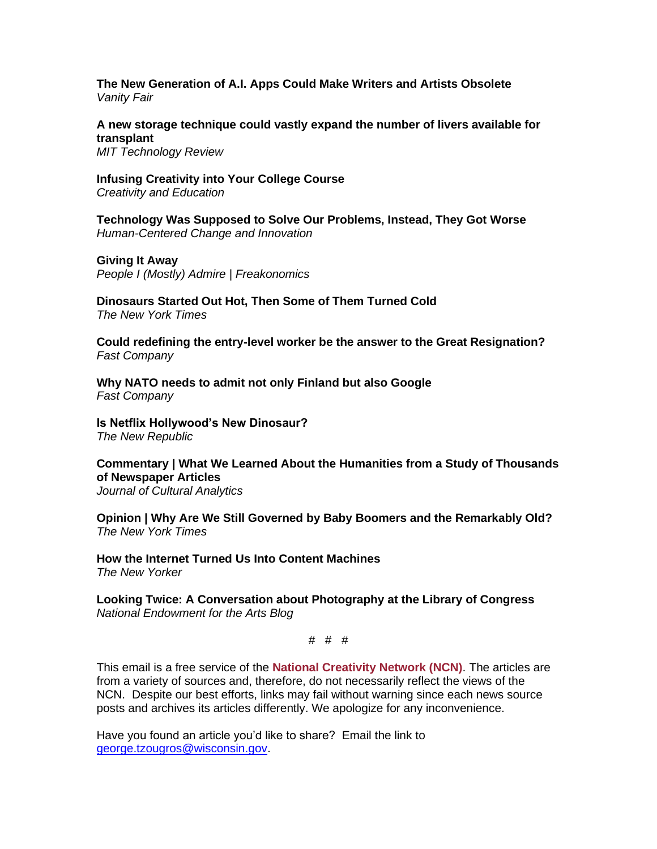**[The New Generation of A.I. Apps Could Make Writers and Artists Obsolete](https://www.vanityfair.com/news/2022/06/the-new-generation-of-ai-apps-could-make-writers-and-artists-obsolete)** *Vanity Fair*

**[A new storage technique could vastly expand the number of livers available for](https://www.technologyreview.com/2022/05/31/1052956/storage-expand-liver-transplant-waitlist-lesion/)  [transplant](https://www.technologyreview.com/2022/05/31/1052956/storage-expand-liver-transplant-waitlist-lesion/)**

*MIT Technology Review*

**[Infusing Creativity into Your College Course](https://creativityandeducation.com/infusing-creativity-into-your-college-course/)** *Creativity and Education*

**[Technology Was Supposed to Solve Our Problems, Instead, They Got Worse](https://bradenkelley.com/2022/06/technology-was-supposed-to-solve-our-problems-instead-they-got-worse/)** *Human-Centered Change and Innovation*

**[Giving It Away](https://freakonomics.com/podcast/giving-it-away/)** *People I (Mostly) Admire | Freakonomics*

**[Dinosaurs Started Out Hot, Then Some of Them Turned Cold](https://www.nytimes.com/2022/05/28/science/dinosars-warm-cold-blood.html)** *The New York Times*

**[Could redefining the entry-level worker be the answer to the Great Resignation?](https://www.fastcompany.com/90758123/could-redefining-the-entry-level-worker-be-the-answer-to-the-great-resignation)** *Fast Company*

**[Why NATO needs to admit not only Finland but also Google](https://www.fastcompany.com/90757789/why-nato-needs-to-admit-not-only-finland-but-also-google)** *Fast Company*

**[Is Netflix Hollywood's New Dinosaur?](https://newrepublic.com/article/166675/netflix-q1-numbers-streaming-shakeup)** *The New Republic*

**[Commentary | What We Learned About the Humanities from a Study of Thousands](https://culturalanalytics.org/article/35907-what-we-learned-about-the-humanities-from-a-study-of-thousands-of-newspaper-articles)  [of Newspaper Articles](https://culturalanalytics.org/article/35907-what-we-learned-about-the-humanities-from-a-study-of-thousands-of-newspaper-articles)** *Journal of Cultural Analytics*

**[Opinion | Why Are We Still Governed by Baby Boomers and the Remarkably Old?](https://www.nytimes.com/2022/06/03/opinion/baby-boomers-gen-x-us-politics.html)** *The New York Times*

**[How the Internet Turned Us Into Content Machines](https://www.newyorker.com/culture/infinite-scroll/how-the-internet-turned-us-into-content-machines)** *The New Yorker*

**[Looking Twice: A Conversation about Photography at the Library of Congress](https://www.arts.gov/stories/blog/2022/looking-twice-conversation-about-photography-library-congress)** *National Endowment for the Arts Blog*

# # #

This email is a free service of the **National Creativity Network (NCN)**. The articles are from a variety of sources and, therefore, do not necessarily reflect the views of the NCN. Despite our best efforts, links may fail without warning since each news source posts and archives its articles differently. We apologize for any inconvenience.

Have you found an article you'd like to share? Email the link to [george.tzougros@wisconsin.gov.](mailto:george.tzougros@wisconsin.gov)